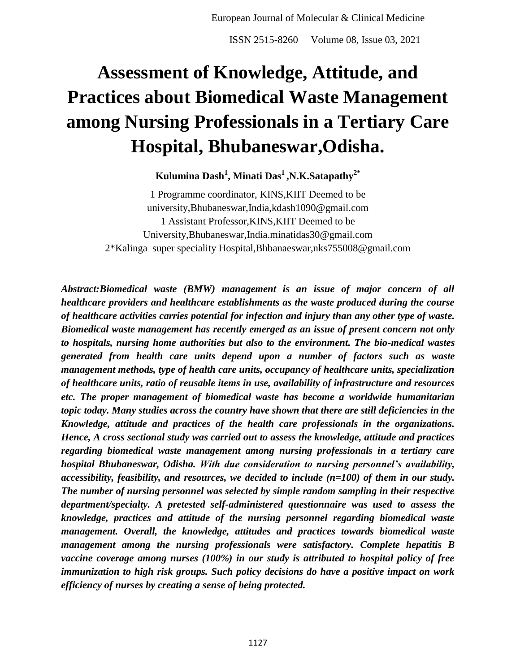# **Assessment of Knowledge, Attitude, and Practices about Biomedical Waste Management among Nursing Professionals in a Tertiary Care Hospital, Bhubaneswar,Odisha.**

## **Kulumina Dash<sup>1</sup> , Minati Das<sup>1</sup>,N.K.Satapathy2\***

1 Programme coordinator, KINS,KIIT Deemed to be university,Bhubaneswar,India,kdash1090@gmail.com 1 Assistant Professor,KINS,KIIT Deemed to be University,Bhubaneswar,India.minatidas30@gmail.com 2\*Kalinga super speciality Hospital,Bhbanaeswar,nks755008@gmail.com

*Abstract:Biomedical waste (BMW) management is an issue of major concern of all healthcare providers and healthcare establishments as the waste produced during the course of healthcare activities carries potential for infection and injury than any other type of waste. Biomedical waste management has recently emerged as an issue of present concern not only to hospitals, nursing home authorities but also to the environment. The bio-medical wastes generated from health care units depend upon a number of factors such as waste management methods, type of health care units, occupancy of healthcare units, specialization of healthcare units, ratio of reusable items in use, availability of infrastructure and resources etc. The proper management of biomedical waste has become a worldwide humanitarian topic today. Many studies across the country have shown that there are still deficiencies in the Knowledge, attitude and practices of the health care professionals in the organizations. Hence, A cross sectional study was carried out to assess the knowledge, attitude and practices regarding biomedical waste management among nursing professionals in a tertiary care hospital Bhubaneswar, Odisha. With due consideration to nursing personnel's availability, accessibility, feasibility, and resources, we decided to include (n=100) of them in our study. The number of nursing personnel was selected by simple random sampling in their respective department/specialty. A pretested self-administered questionnaire was used to assess the knowledge, practices and attitude of the nursing personnel regarding biomedical waste management. Overall, the knowledge, attitudes and practices towards biomedical waste management among the nursing professionals were satisfactory. Complete hepatitis B vaccine coverage among nurses (100%) in our study is attributed to hospital policy of free immunization to high risk groups. Such policy decisions do have a positive impact on work efficiency of nurses by creating a sense of being protected.*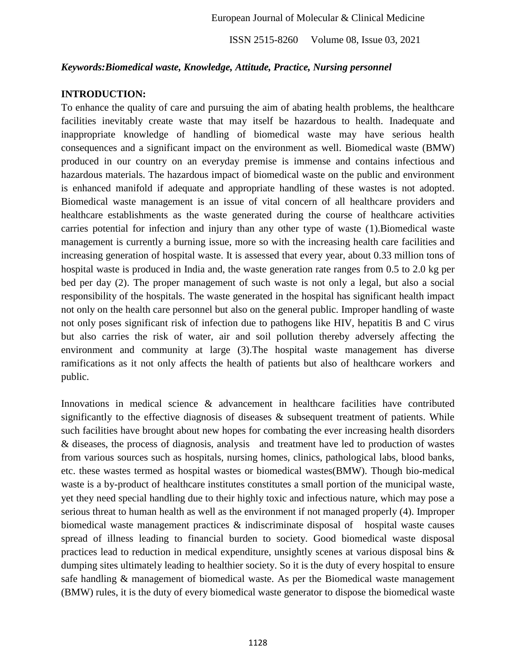## *Keywords:Biomedical waste, Knowledge, Attitude, Practice, Nursing personnel*

#### **INTRODUCTION:**

To enhance the quality of care and pursuing the aim of abating health problems, the healthcare facilities inevitably create waste that may itself be hazardous to health. Inadequate and inappropriate knowledge of handling of biomedical waste may have serious health consequences and a significant impact on the environment as well. Biomedical waste (BMW) produced in our country on an everyday premise is immense and contains infectious and hazardous materials. The hazardous impact of biomedical waste on the public and environment is enhanced manifold if adequate and appropriate handling of these wastes is not adopted. Biomedical waste management is an issue of vital concern of all healthcare providers and healthcare establishments as the waste generated during the course of healthcare activities carries potential for infection and injury than any other type of waste (1).Biomedical waste management is currently a burning issue, more so with the increasing health care facilities and increasing generation of hospital waste. It is assessed that every year, about 0.33 million tons of hospital waste is produced in India and, the waste generation rate ranges from 0.5 to 2.0 kg per bed per day (2). The proper management of such waste is not only a legal, but also a social responsibility of the hospitals. The waste generated in the hospital has significant health impact not only on the health care personnel but also on the general public. Improper handling of waste not only poses significant risk of infection due to pathogens like HIV, hepatitis B and C virus but also carries the risk of water, air and soil pollution thereby adversely affecting the environment and community at large (3).The hospital waste management has diverse ramifications as it not only affects the health of patients but also of healthcare workers and public.

Innovations in medical science & advancement in healthcare facilities have contributed significantly to the effective diagnosis of diseases & subsequent treatment of patients. While such facilities have brought about new hopes for combating the ever increasing health disorders & diseases, the process of diagnosis, analysis and treatment have led to production of wastes from various sources such as hospitals, nursing homes, clinics, pathological labs, blood banks, etc. these wastes termed as hospital wastes or biomedical wastes(BMW). Though bio-medical waste is a by-product of healthcare institutes constitutes a small portion of the municipal waste, yet they need special handling due to their highly toxic and infectious nature, which may pose a serious threat to human health as well as the environment if not managed properly (4). Improper biomedical waste management practices & indiscriminate disposal of hospital waste causes spread of illness leading to financial burden to society. Good biomedical waste disposal practices lead to reduction in medical expenditure, unsightly scenes at various disposal bins & dumping sites ultimately leading to healthier society. So it is the duty of every hospital to ensure safe handling & management of biomedical waste. As per the Biomedical waste management (BMW) rules, it is the duty of every biomedical waste generator to dispose the biomedical waste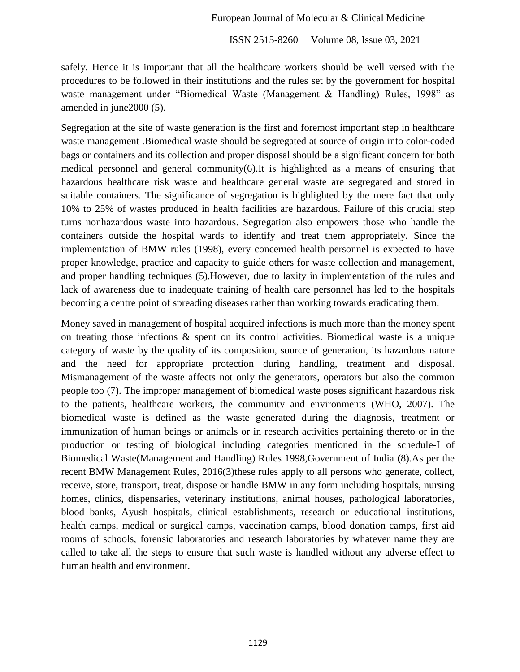#### European Journal of Molecular & Clinical Medicine

ISSN 2515-8260 Volume 08, Issue 03, 2021

safely. Hence it is important that all the healthcare workers should be well versed with the procedures to be followed in their institutions and the rules set by the government for hospital waste management under "Biomedical Waste (Management & Handling) Rules, 1998" as amended in june2000 (5).

Segregation at the site of waste generation is the first and foremost important step in healthcare waste management .Biomedical waste should be segregated at source of origin into color-coded bags or containers and its collection and proper disposal should be a significant concern for both medical personnel and general community(6).It is highlighted as a means of ensuring that hazardous healthcare risk waste and healthcare general waste are segregated and stored in suitable containers. The significance of segregation is highlighted by the mere fact that only 10% to 25% of wastes produced in health facilities are hazardous. Failure of this crucial step turns nonhazardous waste into hazardous. Segregation also empowers those who handle the containers outside the hospital wards to identify and treat them appropriately. Since the implementation of BMW rules (1998), every concerned health personnel is expected to have proper knowledge, practice and capacity to guide others for waste collection and management, and proper handling techniques (5).However, due to laxity in implementation of the rules and lack of awareness due to inadequate training of health care personnel has led to the hospitals becoming a centre point of spreading diseases rather than working towards eradicating them.

Money saved in management of hospital acquired infections is much more than the money spent on treating those infections  $\&$  spent on its control activities. Biomedical waste is a unique category of waste by the quality of its composition, source of generation, its hazardous nature and the need for appropriate protection during handling, treatment and disposal. Mismanagement of the waste affects not only the generators, operators but also the common people too (7). The improper management of biomedical waste poses significant hazardous risk to the patients, healthcare workers, the community and environments (WHO, 2007). The biomedical waste is defined as the waste generated during the diagnosis, treatment or immunization of human beings or animals or in research activities pertaining thereto or in the production or testing of biological including categories mentioned in the schedule-I of Biomedical Waste(Management and Handling) Rules 1998,Government of India **(**8).As per the recent BMW Management Rules, 2016(3)these rules apply to all persons who generate, collect, receive, store, transport, treat, dispose or handle BMW in any form including hospitals, nursing homes, clinics, dispensaries, veterinary institutions, animal houses, pathological laboratories, blood banks, Ayush hospitals, clinical establishments, research or educational institutions, health camps, medical or surgical camps, vaccination camps, blood donation camps, first aid rooms of schools, forensic laboratories and research laboratories by whatever name they are called to take all the steps to ensure that such waste is handled without any adverse effect to human health and environment.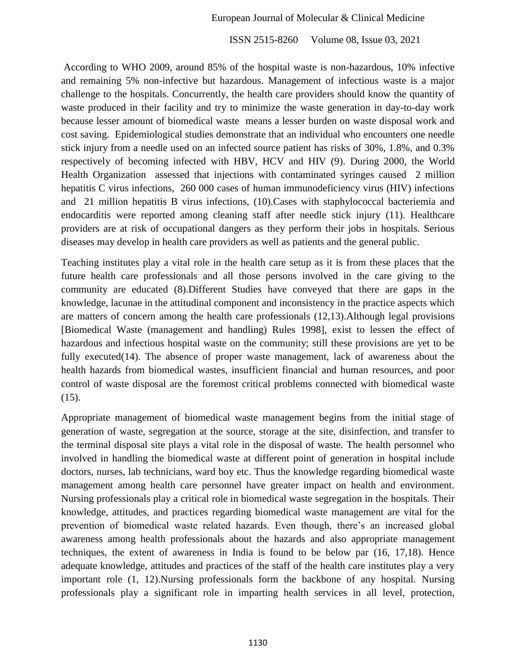According to WHO 2009, around 85% of the hospital waste is non-hazardous, 10% infective and remaining 5% non-infective but hazardous. Management of infectious waste is a major challenge to the hospitals. Concurrently, the health care providers should know the quantity of waste produced in their facility and try to minimize the waste generation in day-to-day work because lesser amount of biomedical waste means a lesser burden on waste disposal work and cost saving. Epidemiological studies demonstrate that an individual who encounters one needle stick injury from a needle used on an infected source patient has risks of 30%, 1.8%, and 0.3% respectively of becoming infected with HBV, HCV and HIV (9). During 2000, the World Health Organization assessed that injections with contaminated syringes caused 2 million hepatitis C virus infections, 260 000 cases of human immunodeficiency virus (HIV) infections and 21 million hepatitis B virus infections, (10).Cases with staphylococcal bacteriemia and endocarditis were reported among cleaning staff after needle stick injury (11). Healthcare providers are at risk of occupational dangers as they perform their jobs in hospitals. Serious diseases may develop in health care providers as well as patients and the general public.

Teaching institutes play a vital role in the health care setup as it is from these places that the future health care professionals and all those persons involved in the care giving to the community are educated (8).Different Studies have conveyed that there are gaps in the knowledge, lacunae in the attitudinal component and inconsistency in the practice aspects which are matters of concern among the health care professionals (12,13).Although legal provisions [Biomedical Waste (management and handling) Rules 1998], exist to lessen the effect of hazardous and infectious hospital waste on the community; still these provisions are yet to be fully executed(14). The absence of proper waste management, lack of awareness about the health hazards from biomedical wastes, insufficient financial and human resources, and poor control of waste disposal are the foremost critical problems connected with biomedical waste (15).

Appropriate management of biomedical waste management begins from the initial stage of generation of waste, segregation at the source, storage at the site, disinfection, and transfer to the terminal disposal site plays a vital role in the disposal of waste. The health personnel who involved in handling the biomedical waste at different point of generation in hospital include doctors, nurses, lab technicians, ward boy etc. Thus the knowledge regarding biomedical waste management among health care personnel have greater impact on health and environment. Nursing professionals play a critical role in biomedical waste segregation in the hospitals. Their knowledge, attitudes, and practices regarding biomedical waste management are vital for the prevention of biomedical waste related hazards. Even though, there's an increased global awareness among health professionals about the hazards and also appropriate management techniques, the extent of awareness in India is found to be below par (16, 17,18). Hence adequate knowledge, attitudes and practices of the staff of the health care institutes play a very important role (1, 12).Nursing professionals form the backbone of any hospital. Nursing professionals play a significant role in imparting health services in all level, protection,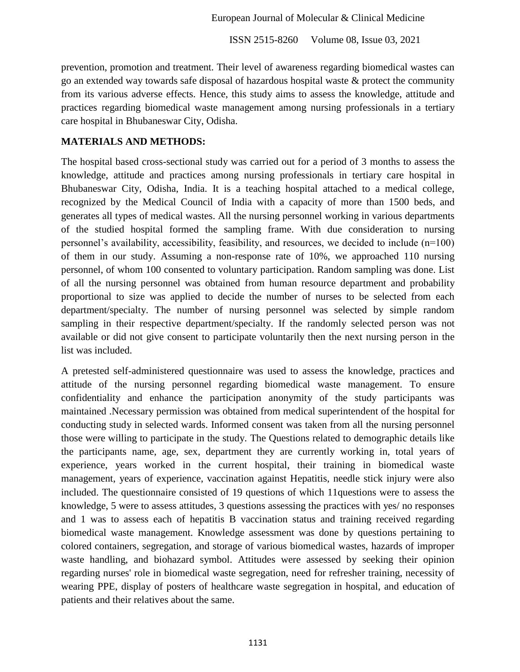prevention, promotion and treatment. Their level of awareness regarding biomedical wastes can go an extended way towards safe disposal of hazardous hospital waste & protect the community from its various adverse effects. Hence, this study aims to assess the knowledge, attitude and practices regarding biomedical waste management among nursing professionals in a tertiary care hospital in Bhubaneswar City, Odisha.

## **MATERIALS AND METHODS:**

The hospital based cross-sectional study was carried out for a period of 3 months to assess the knowledge, attitude and practices among nursing professionals in tertiary care hospital in Bhubaneswar City, Odisha, India. It is a teaching hospital attached to a medical college, recognized by the Medical Council of India with a capacity of more than 1500 beds, and generates all types of medical wastes. All the nursing personnel working in various departments of the studied hospital formed the sampling frame. With due consideration to nursing personnel's availability, accessibility, feasibility, and resources, we decided to include (n=100) of them in our study. Assuming a non-response rate of 10%, we approached 110 nursing personnel, of whom 100 consented to voluntary participation. Random sampling was done. List of all the nursing personnel was obtained from human resource department and probability proportional to size was applied to decide the number of nurses to be selected from each department/specialty. The number of nursing personnel was selected by simple random sampling in their respective department/specialty. If the randomly selected person was not available or did not give consent to participate voluntarily then the next nursing person in the list was included.

A pretested self-administered questionnaire was used to assess the knowledge, practices and attitude of the nursing personnel regarding biomedical waste management. To ensure confidentiality and enhance the participation anonymity of the study participants was maintained .Necessary permission was obtained from medical superintendent of the hospital for conducting study in selected wards. Informed consent was taken from all the nursing personnel those were willing to participate in the study. The Questions related to demographic details like the participants name, age, sex, department they are currently working in, total years of experience, years worked in the current hospital, their training in biomedical waste management, years of experience, vaccination against Hepatitis, needle stick injury were also included. The questionnaire consisted of 19 questions of which 11questions were to assess the knowledge, 5 were to assess attitudes, 3 questions assessing the practices with yes/ no responses and 1 was to assess each of hepatitis B vaccination status and training received regarding biomedical waste management. Knowledge assessment was done by questions pertaining to colored containers, segregation, and storage of various biomedical wastes, hazards of improper waste handling, and biohazard symbol. Attitudes were assessed by seeking their opinion regarding nurses' role in biomedical waste segregation, need for refresher training, necessity of wearing PPE, display of posters of healthcare waste segregation in hospital, and education of patients and their relatives about the same.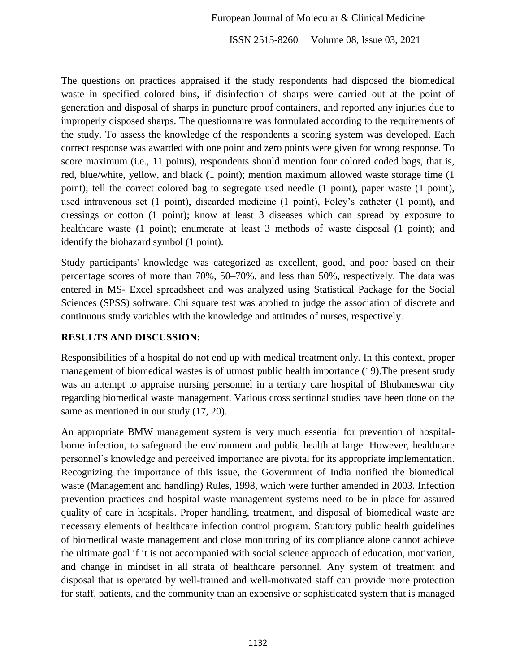#### European Journal of Molecular & Clinical Medicine

ISSN 2515-8260 Volume 08, Issue 03, 2021

The questions on practices appraised if the study respondents had disposed the biomedical waste in specified colored bins, if disinfection of sharps were carried out at the point of generation and disposal of sharps in puncture proof containers, and reported any injuries due to improperly disposed sharps. The questionnaire was formulated according to the requirements of the study. To assess the knowledge of the respondents a scoring system was developed. Each correct response was awarded with one point and zero points were given for wrong response. To score maximum (i.e., 11 points), respondents should mention four colored coded bags, that is, red, blue/white, yellow, and black (1 point); mention maximum allowed waste storage time (1 point); tell the correct colored bag to segregate used needle (1 point), paper waste (1 point), used intravenous set (1 point), discarded medicine (1 point), Foley's catheter (1 point), and dressings or cotton (1 point); know at least 3 diseases which can spread by exposure to healthcare waste (1 point); enumerate at least 3 methods of waste disposal (1 point); and identify the biohazard symbol (1 point).

Study participants' knowledge was categorized as excellent, good, and poor based on their percentage scores of more than 70%, 50–70%, and less than 50%, respectively. The data was entered in MS- Excel spreadsheet and was analyzed using Statistical Package for the Social Sciences (SPSS) software. Chi square test was applied to judge the association of discrete and continuous study variables with the knowledge and attitudes of nurses, respectively.

#### **RESULTS AND DISCUSSION:**

Responsibilities of a hospital do not end up with medical treatment only. In this context, proper management of biomedical wastes is of utmost public health importance (19).The present study was an attempt to appraise nursing personnel in a tertiary care hospital of Bhubaneswar city regarding biomedical waste management. Various cross sectional studies have been done on the same as mentioned in our study (17, 20).

An appropriate BMW management system is very much essential for prevention of hospitalborne infection, to safeguard the environment and public health at large. However, healthcare personnel's knowledge and perceived importance are pivotal for its appropriate implementation. Recognizing the importance of this issue, the Government of India notified the biomedical waste (Management and handling) Rules, 1998, which were further amended in 2003. Infection prevention practices and hospital waste management systems need to be in place for assured quality of care in hospitals. Proper handling, treatment, and disposal of biomedical waste are necessary elements of healthcare infection control program. Statutory public health guidelines of biomedical waste management and close monitoring of its compliance alone cannot achieve the ultimate goal if it is not accompanied with social science approach of education, motivation, and change in mindset in all strata of healthcare personnel. Any system of treatment and disposal that is operated by well-trained and well-motivated staff can provide more protection for staff, patients, and the community than an expensive or sophisticated system that is managed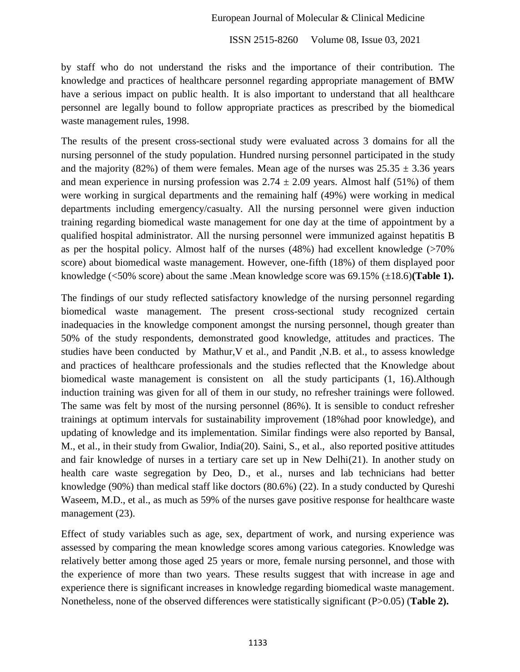by staff who do not understand the risks and the importance of their contribution. The knowledge and practices of healthcare personnel regarding appropriate management of BMW have a serious impact on public health. It is also important to understand that all healthcare personnel are legally bound to follow appropriate practices as prescribed by the biomedical waste management rules, 1998.

The results of the present cross-sectional study were evaluated across 3 domains for all the nursing personnel of the study population. Hundred nursing personnel participated in the study and the majority (82%) of them were females. Mean age of the nurses was  $25.35 \pm 3.36$  years and mean experience in nursing profession was  $2.74 \pm 2.09$  years. Almost half (51%) of them were working in surgical departments and the remaining half (49%) were working in medical departments including emergency/casualty. All the nursing personnel were given induction training regarding biomedical waste management for one day at the time of appointment by a qualified hospital administrator. All the nursing personnel were immunized against hepatitis B as per the hospital policy. Almost half of the nurses (48%) had excellent knowledge (>70% score) about biomedical waste management. However, one-fifth (18%) of them displayed poor knowledge (<50% score) about the same .Mean knowledge score was 69.15% (±18.6)**(Table 1).**

The findings of our study reflected satisfactory knowledge of the nursing personnel regarding biomedical waste management. The present cross-sectional study recognized certain inadequacies in the knowledge component amongst the nursing personnel, though greater than 50% of the study respondents, demonstrated good knowledge, attitudes and practices. The studies have been conducted by Mathur,V et al., and Pandit ,N.B. et al., to assess knowledge and practices of healthcare professionals and the studies reflected that the Knowledge about biomedical waste management is consistent on all the study participants (1, 16).Although induction training was given for all of them in our study, no refresher trainings were followed. The same was felt by most of the nursing personnel (86%). It is sensible to conduct refresher trainings at optimum intervals for sustainability improvement (18%had poor knowledge), and updating of knowledge and its implementation. Similar findings were also reported by Bansal, M., et al., in their study from Gwalior, India(20). Saini, S., et al., also reported positive attitudes and fair knowledge of nurses in a tertiary care set up in New Delhi(21). In another study on health care waste segregation by Deo, D., et al., nurses and lab technicians had better knowledge (90%) than medical staff like doctors (80.6%) (22). In a study conducted by Qureshi Waseem, M.D., et al., as much as 59% of the nurses gave positive response for healthcare waste management (23).

Effect of study variables such as age, sex, department of work, and nursing experience was assessed by comparing the mean knowledge scores among various categories. Knowledge was relatively better among those aged 25 years or more, female nursing personnel, and those with the experience of more than two years. These results suggest that with increase in age and experience there is significant increases in knowledge regarding biomedical waste management. Nonetheless, none of the observed differences were statistically significant (P>0.05) (**Table 2).**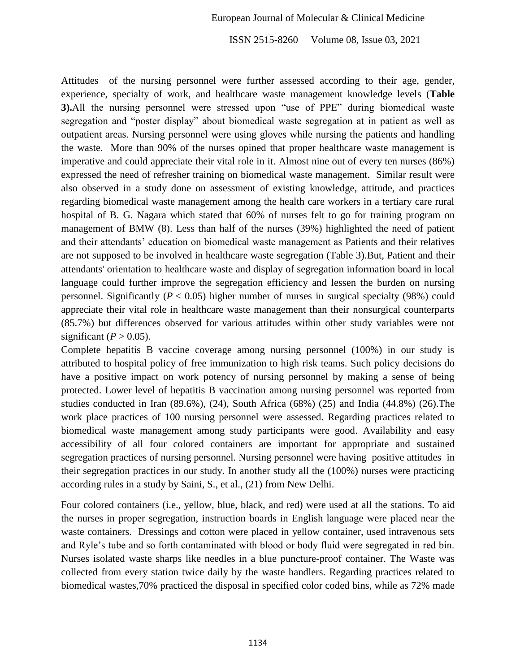#### European Journal of Molecular & Clinical Medicine

ISSN 2515-8260 Volume 08, Issue 03, 2021

Attitudes of the nursing personnel were further assessed according to their age, gender, experience, specialty of work, and healthcare waste management knowledge levels (**Table 3).**All the nursing personnel were stressed upon "use of PPE" during biomedical waste segregation and "poster display" about biomedical waste segregation at in patient as well as outpatient areas. Nursing personnel were using gloves while nursing the patients and handling the waste. More than 90% of the nurses opined that proper healthcare waste management is imperative and could appreciate their vital role in it. Almost nine out of every ten nurses (86%) expressed the need of refresher training on biomedical waste management. Similar result were also observed in a study done on assessment of existing knowledge, attitude, and practices regarding biomedical waste management among the health care workers in a tertiary care rural hospital of B. G. Nagara which stated that 60% of nurses felt to go for training program on management of BMW (8). Less than half of the nurses (39%) highlighted the need of patient and their attendants' education on biomedical waste management as Patients and their relatives are not supposed to be involved in healthcare waste segregation (Table 3).But, Patient and their attendants' orientation to healthcare waste and display of segregation information board in local language could further improve the segregation efficiency and lessen the burden on nursing personnel. Significantly ( $P < 0.05$ ) higher number of nurses in surgical specialty (98%) could appreciate their vital role in healthcare waste management than their nonsurgical counterparts (85.7%) but differences observed for various attitudes within other study variables were not significant ( $P > 0.05$ ).

Complete hepatitis B vaccine coverage among nursing personnel (100%) in our study is attributed to hospital policy of free immunization to high risk teams. Such policy decisions do have a positive impact on work potency of nursing personnel by making a sense of being protected. Lower level of hepatitis B vaccination among nursing personnel was reported from studies conducted in Iran (89.6%), (24), South Africa (68%) (25) and India (44.8%) (26).The work place practices of 100 nursing personnel were assessed. Regarding practices related to biomedical waste management among study participants were good. Availability and easy accessibility of all four colored containers are important for appropriate and sustained segregation practices of nursing personnel. Nursing personnel were having positive attitudes in their segregation practices in our study. In another study all the (100%) nurses were practicing according rules in a study by Saini, S., et al., (21) from New Delhi.

Four colored containers (i.e., yellow, blue, black, and red) were used at all the stations. To aid the nurses in proper segregation, instruction boards in English language were placed near the waste containers. Dressings and cotton were placed in yellow container, used intravenous sets and Ryle's tube and so forth contaminated with blood or body fluid were segregated in red bin. Nurses isolated waste sharps like needles in a blue puncture-proof container. The Waste was collected from every station twice daily by the waste handlers. Regarding practices related to biomedical wastes,70% practiced the disposal in specified color coded bins, while as 72% made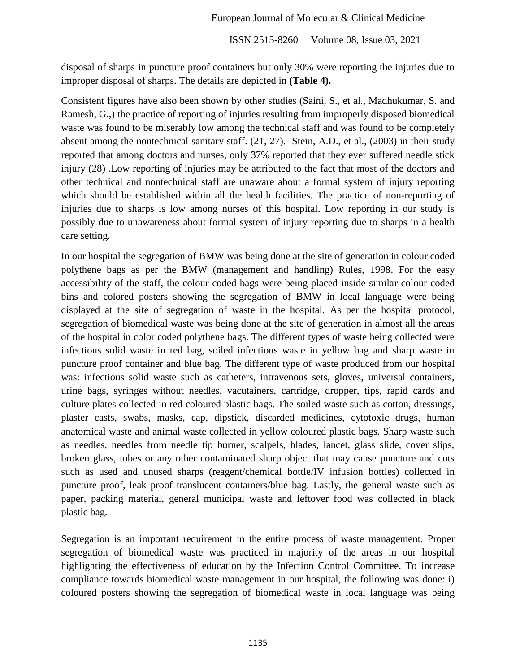disposal of sharps in puncture proof containers but only 30% were reporting the injuries due to improper disposal of sharps. The details are depicted in **(Table 4).**

Consistent figures have also been shown by other studies (Saini, S., et al., Madhukumar, S. and Ramesh, G.,) the practice of reporting of injuries resulting from improperly disposed biomedical waste was found to be miserably low among the technical staff and was found to be completely absent among the nontechnical sanitary staff. (21, 27). Stein, A.D., et al., (2003) in their study reported that among doctors and nurses, only 37% reported that they ever suffered needle stick injury (28) .Low reporting of injuries may be attributed to the fact that most of the doctors and other technical and nontechnical staff are unaware about a formal system of injury reporting which should be established within all the health facilities. The practice of non-reporting of injuries due to sharps is low among nurses of this hospital. Low reporting in our study is possibly due to unawareness about formal system of injury reporting due to sharps in a health care setting.

In our hospital the segregation of BMW was being done at the site of generation in colour coded polythene bags as per the BMW (management and handling) Rules, 1998. For the easy accessibility of the staff, the colour coded bags were being placed inside similar colour coded bins and colored posters showing the segregation of BMW in local language were being displayed at the site of segregation of waste in the hospital. As per the hospital protocol, segregation of biomedical waste was being done at the site of generation in almost all the areas of the hospital in color coded polythene bags. The different types of waste being collected were infectious solid waste in red bag, soiled infectious waste in yellow bag and sharp waste in puncture proof container and blue bag. The different type of waste produced from our hospital was: infectious solid waste such as catheters, intravenous sets, gloves, universal containers, urine bags, syringes without needles, vacutainers, cartridge, dropper, tips, rapid cards and culture plates collected in red coloured plastic bags. The soiled waste such as cotton, dressings, plaster casts, swabs, masks, cap, dipstick, discarded medicines, cytotoxic drugs, human anatomical waste and animal waste collected in yellow coloured plastic bags. Sharp waste such as needles, needles from needle tip burner, scalpels, blades, lancet, glass slide, cover slips, broken glass, tubes or any other contaminated sharp object that may cause puncture and cuts such as used and unused sharps (reagent/chemical bottle/IV infusion bottles) collected in puncture proof, leak proof translucent containers/blue bag. Lastly, the general waste such as paper, packing material, general municipal waste and leftover food was collected in black plastic bag.

Segregation is an important requirement in the entire process of waste management. Proper segregation of biomedical waste was practiced in majority of the areas in our hospital highlighting the effectiveness of education by the Infection Control Committee. To increase compliance towards biomedical waste management in our hospital, the following was done: i) coloured posters showing the segregation of biomedical waste in local language was being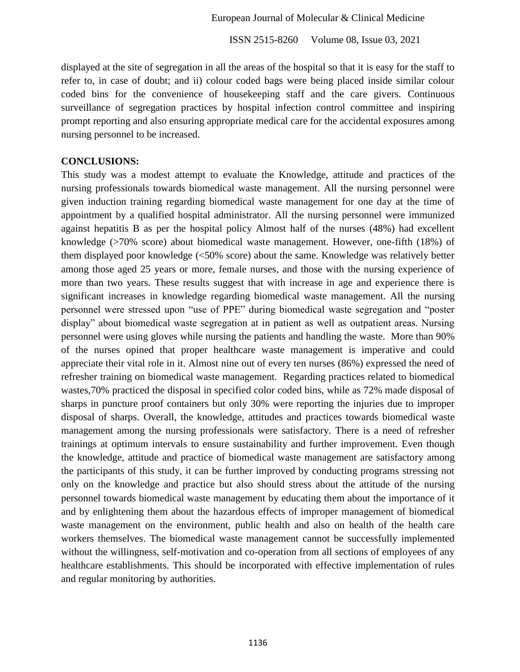displayed at the site of segregation in all the areas of the hospital so that it is easy for the staff to refer to, in case of doubt; and ii) colour coded bags were being placed inside similar colour coded bins for the convenience of housekeeping staff and the care givers. Continuous surveillance of segregation practices by hospital infection control committee and inspiring prompt reporting and also ensuring appropriate medical care for the accidental exposures among nursing personnel to be increased.

#### **CONCLUSIONS:**

This study was a modest attempt to evaluate the Knowledge, attitude and practices of the nursing professionals towards biomedical waste management. All the nursing personnel were given induction training regarding biomedical waste management for one day at the time of appointment by a qualified hospital administrator. All the nursing personnel were immunized against hepatitis B as per the hospital policy Almost half of the nurses (48%) had excellent knowledge (>70% score) about biomedical waste management. However, one-fifth (18%) of them displayed poor knowledge (<50% score) about the same. Knowledge was relatively better among those aged 25 years or more, female nurses, and those with the nursing experience of more than two years. These results suggest that with increase in age and experience there is significant increases in knowledge regarding biomedical waste management. All the nursing personnel were stressed upon "use of PPE" during biomedical waste segregation and "poster display" about biomedical waste segregation at in patient as well as outpatient areas. Nursing personnel were using gloves while nursing the patients and handling the waste. More than 90% of the nurses opined that proper healthcare waste management is imperative and could appreciate their vital role in it. Almost nine out of every ten nurses (86%) expressed the need of refresher training on biomedical waste management. Regarding practices related to biomedical wastes,70% practiced the disposal in specified color coded bins, while as 72% made disposal of sharps in puncture proof containers but only 30% were reporting the injuries due to improper disposal of sharps. Overall, the knowledge, attitudes and practices towards biomedical waste management among the nursing professionals were satisfactory. There is a need of refresher trainings at optimum intervals to ensure sustainability and further improvement. Even though the knowledge, attitude and practice of biomedical waste management are satisfactory among the participants of this study, it can be further improved by conducting programs stressing not only on the knowledge and practice but also should stress about the attitude of the nursing personnel towards biomedical waste management by educating them about the importance of it and by enlightening them about the hazardous effects of improper management of biomedical waste management on the environment, public health and also on health of the health care workers themselves. The biomedical waste management cannot be successfully implemented without the willingness, self-motivation and co-operation from all sections of employees of any healthcare establishments. This should be incorporated with effective implementation of rules and regular monitoring by authorities.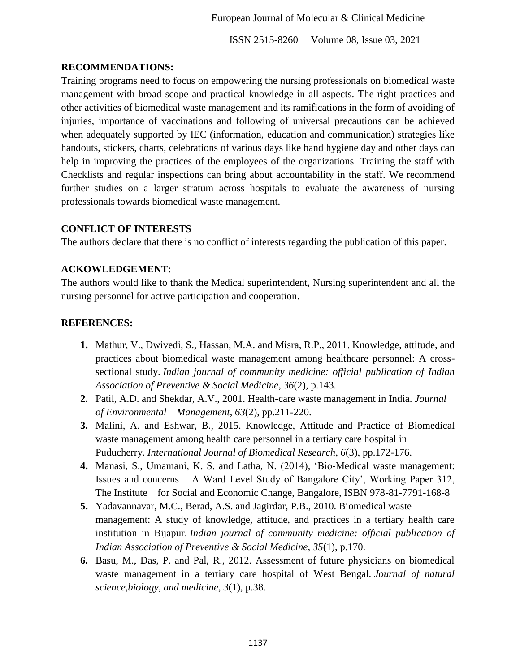## **RECOMMENDATIONS:**

Training programs need to focus on empowering the nursing professionals on biomedical waste management with broad scope and practical knowledge in all aspects. The right practices and other activities of biomedical waste management and its ramifications in the form of avoiding of injuries, importance of vaccinations and following of universal precautions can be achieved when adequately supported by IEC (information, education and communication) strategies like handouts, stickers, charts, celebrations of various days like hand hygiene day and other days can help in improving the practices of the employees of the organizations. Training the staff with Checklists and regular inspections can bring about accountability in the staff. We recommend further studies on a larger stratum across hospitals to evaluate the awareness of nursing professionals towards biomedical waste management.

## **CONFLICT OF INTERESTS**

The authors declare that there is no conflict of interests regarding the publication of this paper.

## **ACKOWLEDGEMENT**:

The authors would like to thank the Medical superintendent, Nursing superintendent and all the nursing personnel for active participation and cooperation.

## **REFERENCES:**

- **1.** Mathur, V., Dwivedi, S., Hassan, M.A. and Misra, R.P., 2011. Knowledge, attitude, and practices about biomedical waste management among healthcare personnel: A crosssectional study. *Indian journal of community medicine: official publication of Indian Association of Preventive & Social Medicine*, *36*(2), p.143.
- **2.** Patil, A.D. and Shekdar, A.V., 2001. Health-care waste management in India. *Journal of Environmental Management*, *63*(2), pp.211-220.
- **3.** Malini, A. and Eshwar, B., 2015. Knowledge, Attitude and Practice of Biomedical waste management among health care personnel in a tertiary care hospital in Puducherry. *International Journal of Biomedical Research*, *6*(3), pp.172-176.
- **4.** Manasi, S., Umamani, K. S. and Latha, N. (2014), ‗Bio-Medical waste management: Issues and concerns – A Ward Level Study of Bangalore City', Working Paper 312, The Institute for Social and Economic Change, Bangalore, ISBN 978-81-7791-168-8
- **5.** Yadavannavar, M.C., Berad, A.S. and Jagirdar, P.B., 2010. Biomedical waste management: A study of knowledge, attitude, and practices in a tertiary health care institution in Bijapur. *Indian journal of community medicine: official publication of Indian Association of Preventive & Social Medicine*, *35*(1), p.170.
- **6.** Basu, M., Das, P. and Pal, R., 2012. Assessment of future physicians on biomedical waste management in a tertiary care hospital of West Bengal. *Journal of natural science,biology, and medicine*, *3*(1), p.38.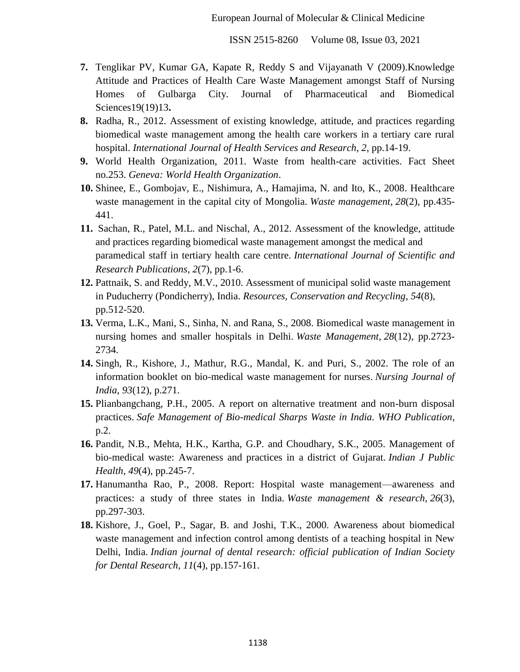- **7.** Tenglikar PV, Kumar GA, Kapate R, Reddy S and Vijayanath V (2009).Knowledge Attitude and Practices of Health Care Waste Management amongst Staff of Nursing Homes of Gulbarga City. Journal of Pharmaceutical and Biomedical Sciences19(19)13**.**
- **8.** Radha, R., 2012. Assessment of existing knowledge, attitude, and practices regarding biomedical waste management among the health care workers in a tertiary care rural hospital. *International Journal of Health Services and Research*, *2*, pp.14-19.
- **9.** World Health Organization, 2011. Waste from health-care activities. Fact Sheet no.253. *Geneva: World Health Organization*.
- **10.** Shinee, E., Gombojav, E., Nishimura, A., Hamajima, N. and Ito, K., 2008. Healthcare waste management in the capital city of Mongolia. *Waste management*, *28*(2), pp.435- 441.
- **11.** Sachan, R., Patel, M.L. and Nischal, A., 2012. Assessment of the knowledge, attitude and practices regarding biomedical waste management amongst the medical and paramedical staff in tertiary health care centre. *International Journal of Scientific and Research Publications*, *2*(7), pp.1-6.
- **12.** Pattnaik, S. and Reddy, M.V., 2010. Assessment of municipal solid waste management in Puducherry (Pondicherry), India. *Resources, Conservation and Recycling*, *54*(8), pp.512-520.
- **13.** Verma, L.K., Mani, S., Sinha, N. and Rana, S., 2008. Biomedical waste management in nursing homes and smaller hospitals in Delhi. *Waste Management*, *28*(12), pp.2723- 2734.
- **14.** Singh, R., Kishore, J., Mathur, R.G., Mandal, K. and Puri, S., 2002. The role of an information booklet on bio-medical waste management for nurses. *Nursing Journal of India*, *93*(12), p.271.
- **15.** Plianbangchang, P.H., 2005. A report on alternative treatment and non-burn disposal practices. *Safe Management of Bio-medical Sharps Waste in India. WHO Publication*, p.2.
- **16.** Pandit, N.B., Mehta, H.K., Kartha, G.P. and Choudhary, S.K., 2005. Management of bio-medical waste: Awareness and practices in a district of Gujarat. *Indian J Public Health*, *49*(4), pp.245-7.
- **17.** Hanumantha Rao, P., 2008. Report: Hospital waste management—awareness and practices: a study of three states in India. *Waste management & research*, *26*(3), pp.297-303.
- **18.** Kishore, J., Goel, P., Sagar, B. and Joshi, T.K., 2000. Awareness about biomedical waste management and infection control among dentists of a teaching hospital in New Delhi, India. *Indian journal of dental research: official publication of Indian Society for Dental Research*, *11*(4), pp.157-161.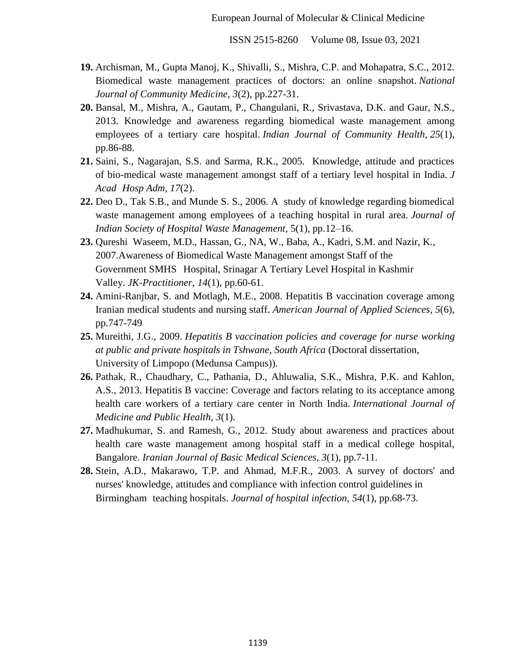- **19.** Archisman, M., Gupta Manoj, K., Shivalli, S., Mishra, C.P. and Mohapatra, S.C., 2012. Biomedical waste management practices of doctors: an online snapshot. *National Journal of Community Medicine*, *3*(2), pp.227-31.
- **20.** Bansal, M., Mishra, A., Gautam, P., Changulani, R., Srivastava, D.K. and Gaur, N.S., 2013. Knowledge and awareness regarding biomedical waste management among employees of a tertiary care hospital. *Indian Journal of Community Health*, *25*(1), pp.86-88.
- **21.** Saini, S., Nagarajan, S.S. and Sarma, R.K., 2005. Knowledge, attitude and practices of bio-medical waste management amongst staff of a tertiary level hospital in India. *J Acad Hosp Adm*, *17*(2).
- **22.** Deo D., Tak S.B., and Munde S. S., 2006. A study of knowledge regarding biomedical waste management among employees of a teaching hospital in rural area. *Journal of Indian Society of Hospital Waste Management*, 5(1), pp.12–16.
- **23.** Qureshi Waseem, M.D., Hassan, G., NA, W., Baba, A., Kadri, S.M. and Nazir, K., 2007.Awareness of Biomedical Waste Management amongst Staff of the Government SMHS Hospital, Srinagar A Tertiary Level Hospital in Kashmir Valley. *JK-Practitioner*, *14*(1), pp.60-61.
- **24.** Amini-Ranjbar, S. and Motlagh, M.E., 2008. Hepatitis B vaccination coverage among Iranian medical students and nursing staff. *American Journal of Applied Sciences*, *5*(6), pp.747-749
- **25.** Mureithi, J.G., 2009. *Hepatitis B vaccination policies and coverage for nurse working at public and private hospitals in Tshwane, South Africa* (Doctoral dissertation, University of Limpopo (Medunsa Campus)).
- **26.** Pathak, R., Chaudhary, C., Pathania, D., Ahluwalia, S.K., Mishra, P.K. and Kahlon, A.S., 2013. Hepatitis B vaccine: Coverage and factors relating to its acceptance among health care workers of a tertiary care center in North India. *International Journal of Medicine and Public Health*, *3*(1).
- **27.** Madhukumar, S. and Ramesh, G., 2012. Study about awareness and practices about health care waste management among hospital staff in a medical college hospital, Bangalore. *Iranian Journal of Basic Medical Sciences*, *3*(1), pp.7-11.
- **28.** Stein, A.D., Makarawo, T.P. and Ahmad, M.F.R., 2003. A survey of doctors' and nurses' knowledge, attitudes and compliance with infection control guidelines in Birmingham teaching hospitals. *Journal of hospital infection*, *54*(1), pp.68-73.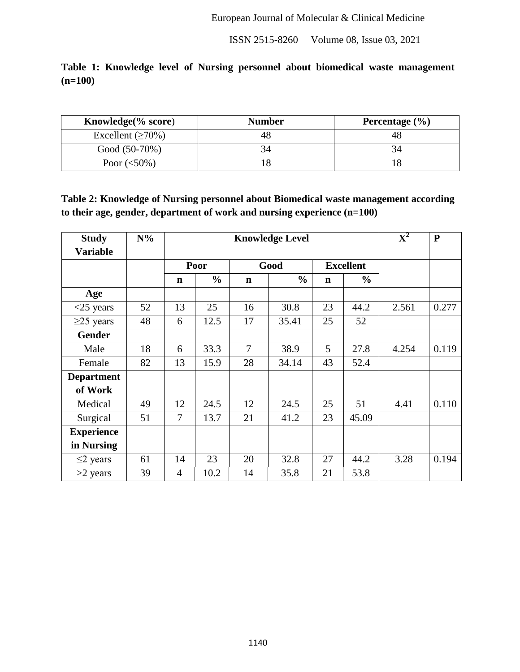|           |  |  |  |  | Table 1: Knowledge level of Nursing personnel about biomedical waste management |
|-----------|--|--|--|--|---------------------------------------------------------------------------------|
| $(n=100)$ |  |  |  |  |                                                                                 |

| Knowledge $(\%$ score)  | <b>Number</b> | Percentage $(\% )$ |
|-------------------------|---------------|--------------------|
| Excellent $(\geq 70\%)$ | 48            |                    |
| Good (50-70%)           |               |                    |
| Poor $(<50\%)$          |               |                    |

**Table 2: Knowledge of Nursing personnel about Biomedical waste management according to their age, gender, department of work and nursing experience (n=100)**

| <b>Study</b><br><b>Variable</b> | $N\%$ |                |               | $\overline{\textbf{X}^2}$ | $\mathbf{P}$  |             |                  |       |       |
|---------------------------------|-------|----------------|---------------|---------------------------|---------------|-------------|------------------|-------|-------|
|                                 |       |                | Poor          |                           | Good          |             | <b>Excellent</b> |       |       |
|                                 |       | $\mathbf n$    | $\frac{0}{0}$ | $\mathbf n$               | $\frac{0}{0}$ | $\mathbf n$ | $\frac{6}{9}$    |       |       |
| Age                             |       |                |               |                           |               |             |                  |       |       |
| $<$ 25 years                    | 52    | 13             | 25            | 16                        | 30.8          | 23          | 44.2             | 2.561 | 0.277 |
| $\geq$ 25 years                 | 48    | 6              | 12.5          | 17                        | 35.41         | 25          | 52               |       |       |
| <b>Gender</b>                   |       |                |               |                           |               |             |                  |       |       |
| Male                            | 18    | 6              | 33.3          | $\overline{7}$            | 38.9          | 5           | 27.8             | 4.254 | 0.119 |
| Female                          | 82    | 13             | 15.9          | 28                        | 34.14         | 43          | 52.4             |       |       |
| <b>Department</b>               |       |                |               |                           |               |             |                  |       |       |
| of Work                         |       |                |               |                           |               |             |                  |       |       |
| Medical                         | 49    | 12             | 24.5          | 12                        | 24.5          | 25          | 51               | 4.41  | 0.110 |
| Surgical                        | 51    | 7              | 13.7          | 21                        | 41.2          | 23          | 45.09            |       |       |
| <b>Experience</b>               |       |                |               |                           |               |             |                  |       |       |
| in Nursing                      |       |                |               |                           |               |             |                  |       |       |
| $\leq$ 2 years                  | 61    | 14             | 23            | 20                        | 32.8          | 27          | 44.2             | 3.28  | 0.194 |
| $>2$ years                      | 39    | $\overline{4}$ | 10.2          | 14                        | 35.8          | 21          | 53.8             |       |       |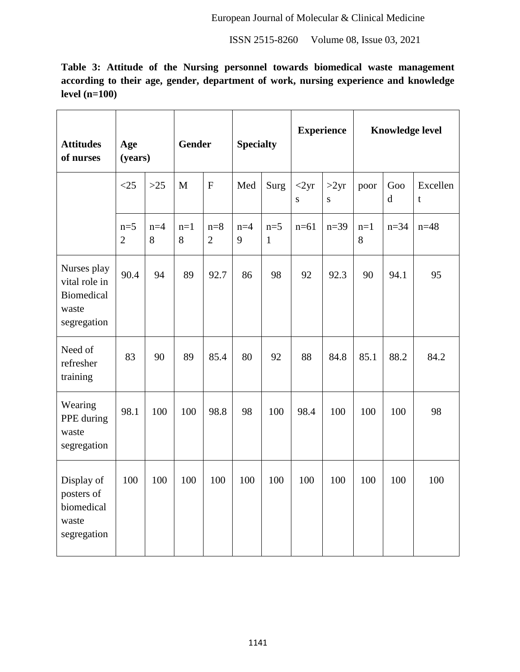**Table 3: Attitude of the Nursing personnel towards biomedical waste management according to their age, gender, department of work, nursing experience and knowledge level (n=100)**

| <b>Attitudes</b><br>of nurses                                      | Age<br>(years)          |            | <b>Gender</b> |                         | <b>Specialty</b> |                       | <b>Experience</b> |           | <b>Knowledge level</b> |          |               |
|--------------------------------------------------------------------|-------------------------|------------|---------------|-------------------------|------------------|-----------------------|-------------------|-----------|------------------------|----------|---------------|
|                                                                    | <25                     | $>25$      | M             | $\mathbf{F}$            | Med              | Surg                  | <2yr<br>S         | >2yr<br>S | poor                   | Goo<br>d | Excellen<br>t |
|                                                                    | $n=5$<br>$\overline{2}$ | $n=4$<br>8 | $n=1$<br>8    | $n=8$<br>$\overline{2}$ | $n=4$<br>9       | $n=5$<br>$\mathbf{1}$ | $n=61$            | $n=39$    | $n=1$<br>8             | $n = 34$ | $n = 48$      |
| Nurses play<br>vital role in<br>Biomedical<br>waste<br>segregation | 90.4                    | 94         | 89            | 92.7                    | 86               | 98                    | 92                | 92.3      | 90                     | 94.1     | 95            |
| Need of<br>refresher<br>training                                   | 83                      | 90         | 89            | 85.4                    | 80               | 92                    | 88                | 84.8      | 85.1                   | 88.2     | 84.2          |
| Wearing<br>PPE during<br>waste<br>segregation                      | 98.1                    | 100        | 100           | 98.8                    | 98               | 100                   | 98.4              | 100       | 100                    | 100      | 98            |
| Display of<br>posters of<br>biomedical<br>waste<br>segregation     | 100                     | 100        | 100           | 100                     | 100              | 100                   | 100               | 100       | 100                    | 100      | 100           |